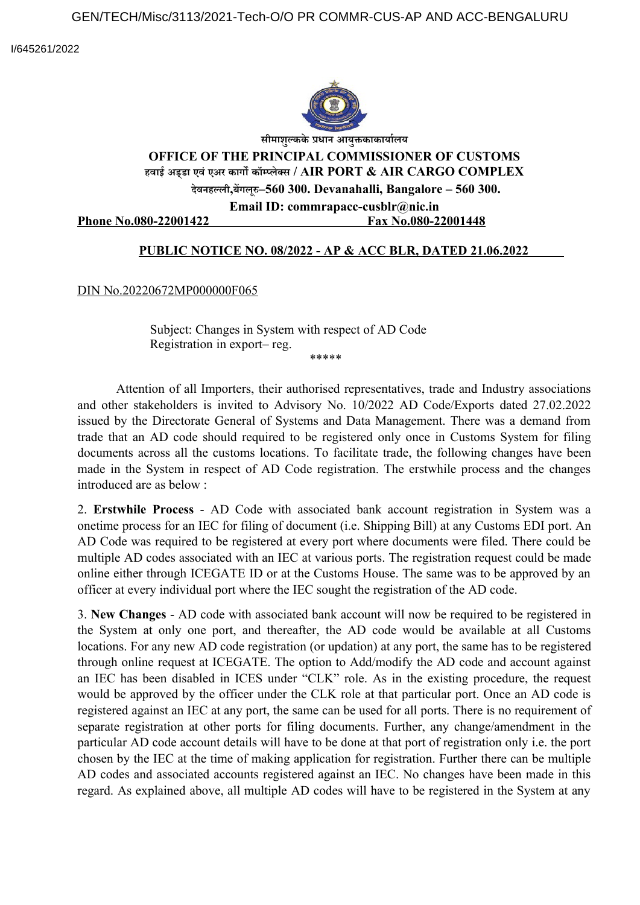I/645261/2022



**सीमाशुल्कके प्रधान आयुक्तकाकार्यालय**

## **OFFICE OF THE PRINCIPAL COMMISSIONER OF CUSTOMS हवाई अड्डा एवं एअर कार्गो कॉम्प्लेक्स / AIR PORT & AIR CARGO COMPLEX देवनहल्ली,बेंर्गोलूरु–560 300. Devanahalli, Bangalore – 560 300.**

**Email ID: commrapacc-cusblr@nic.in** 

Phone No.080-22001422 **Fax No.080-22001448** 

## **PUBLIC NOTICE NO. 08/2022 - AP & ACC BLR, DATED 21.06.2022**

DIN No.20220672MP000000F065

Subject: Changes in System with respect of AD Code Registration in export– reg. \*\*\*\*\*

Attention of all Importers, their authorised representatives, trade and Industry associations and other stakeholders is invited to Advisory No. 10/2022 AD Code/Exports dated 27.02.2022 issued by the Directorate General of Systems and Data Management. There was a demand from trade that an AD code should required to be registered only once in Customs System for filing documents across all the customs locations. To facilitate trade, the following changes have been made in the System in respect of AD Code registration. The erstwhile process and the changes introduced are as below :

2. **Erstwhile Process** - AD Code with associated bank account registration in System was a onetime process for an IEC for filing of document (i.e. Shipping Bill) at any Customs EDI port. An AD Code was required to be registered at every port where documents were filed. There could be multiple AD codes associated with an IEC at various ports. The registration request could be made online either through ICEGATE ID or at the Customs House. The same was to be approved by an officer at every individual port where the IEC sought the registration of the AD code.

3. **New Changes** - AD code with associated bank account will now be required to be registered in the System at only one port, and thereafter, the AD code would be available at all Customs locations. For any new AD code registration (or updation) at any port, the same has to be registered through online request at ICEGATE. The option to Add/modify the AD code and account against an IEC has been disabled in ICES under "CLK" role. As in the existing procedure, the request would be approved by the officer under the CLK role at that particular port. Once an AD code is registered against an IEC at any port, the same can be used for all ports. There is no requirement of separate registration at other ports for filing documents. Further, any change/amendment in the particular AD code account details will have to be done at that port of registration only i.e. the port chosen by the IEC at the time of making application for registration. Further there can be multiple AD codes and associated accounts registered against an IEC. No changes have been made in this regard. As explained above, all multiple AD codes will have to be registered in the System at any